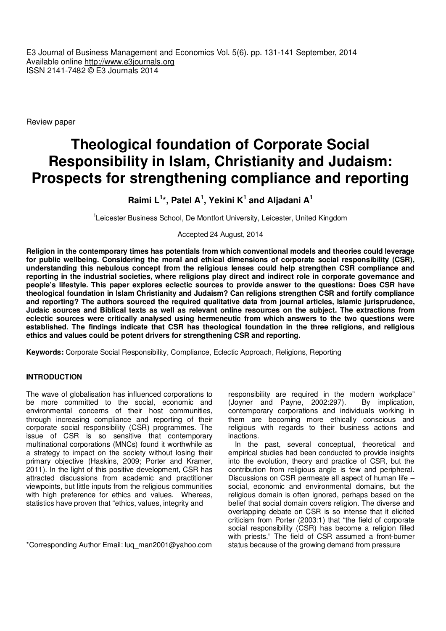E3 Journal of Business Management and Economics Vol. 5(6). pp. 131-141 September, 2014 Available online http://www.e3journals.org ISSN 2141-7482 © E3 Journals 2014

Review paper

# **Theological foundation of Corporate Social Responsibility in Islam, Christianity and Judaism: Prospects for strengthening compliance and reporting**

# **Raimi L<sup>1</sup> \*, Patel A<sup>1</sup> , Yekini K<sup>1</sup> and Aljadani A<sup>1</sup>**

<sup>1</sup>Leicester Business School, De Montfort University, Leicester, United Kingdom

# Accepted 24 August, 2014

**Religion in the contemporary times has potentials from which conventional models and theories could leverage for public wellbeing. Considering the moral and ethical dimensions of corporate social responsibility (CSR), understanding this nebulous concept from the religious lenses could help strengthen CSR compliance and reporting in the industrial societies, where religions play direct and indirect role in corporate governance and people's lifestyle. This paper explores eclectic sources to provide answer to the questions: Does CSR have theological foundation in Islam Christianity and Judaism? Can religions strengthen CSR and fortify compliance and reporting? The authors sourced the required qualitative data from journal articles, Islamic jurisprudence, Judaic sources and Biblical texts as well as relevant online resources on the subject. The extractions from eclectic sources were critically analysed using hermeneutic from which answers to the two questions were established. The findings indicate that CSR has theological foundation in the three religions, and religious ethics and values could be potent drivers for strengthening CSR and reporting.** 

**Keywords:** Corporate Social Responsibility, Compliance, Eclectic Approach, Religions, Reporting

# **INTRODUCTION**

The wave of globalisation has influenced corporations to be more committed to the social, economic and environmental concerns of their host communities, through increasing compliance and reporting of their corporate social responsibility (CSR) programmes. The issue of CSR is so sensitive that contemporary multinational corporations (MNCs) found it worthwhile as a strategy to impact on the society without losing their primary objective (Haskins, 2009; Porter and Kramer, 2011). In the light of this positive development, CSR has attracted discussions from academic and practitioner viewpoints, but little inputs from the religious communities with high preference for ethics and values. Whereas, statistics have proven that "ethics, values, integrity and

\*Corresponding Author Email: luq\_man2001@yahoo.com

responsibility are required in the modern workplace"<br>(Joyner and Payne, 2002:297). By implication,  $(Joyner and Payne, 2002:297).$ contemporary corporations and individuals working in them are becoming more ethically conscious and religious with regards to their business actions and inactions.

In the past, several conceptual, theoretical and empirical studies had been conducted to provide insights into the evolution, theory and practice of CSR, but the contribution from religious angle is few and peripheral. Discussions on CSR permeate all aspect of human life – social, economic and environmental domains, but the religious domain is often ignored, perhaps based on the belief that social domain covers religion. The diverse and overlapping debate on CSR is so intense that it elicited criticism from Porter (2003:1) that "the field of corporate social responsibility (CSR) has become a religion filled with priests." The field of CSR assumed a front-burner status because of the growing demand from pressure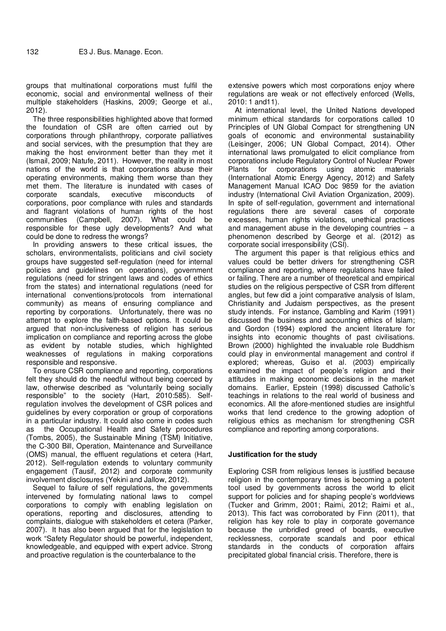groups that multinational corporations must fulfil the economic, social and environmental wellness of their multiple stakeholders (Haskins, 2009; George et al., 2012).

The three responsibilities highlighted above that formed the foundation of CSR are often carried out by corporations through philanthropy, corporate palliatives and social services, with the presumption that they are making the host environment better than they met it (Ismail, 2009; Natufe, 2011). However, the reality in most nations of the world is that corporations abuse their operating environments, making them worse than they met them. The literature is inundated with cases of corporate scandals, executive misconducts of corporations, poor compliance with rules and standards and flagrant violations of human rights of the host communities (Campbell, 2007). What could be responsible for these ugly developments? And what could be done to redress the wrongs?

In providing answers to these critical issues, the scholars, environmentalists, politicians and civil society groups have suggested self-regulation (need for internal policies and guidelines on operations), government regulations (need for stringent laws and codes of ethics from the states) and international regulations (need for international conventions/protocols from international community) as means of ensuring compliance and reporting by corporations. Unfortunately, there was no attempt to explore the faith-based options. It could be argued that non-inclusiveness of religion has serious implication on compliance and reporting across the globe as evident by notable studies, which highlighted weaknesses of regulations in making corporations responsible and responsive.

To ensure CSR compliance and reporting, corporations felt they should do the needful without being coerced by law, otherwise described as "voluntarily being socially responsible" to the society (Hart, 2010:585). Selfregulation involves the development of CSR polices and guidelines by every corporation or group of corporations in a particular industry. It could also come in codes such as the Occupational Health and Safety procedures (Tombs, 2005), the Sustainable Mining (TSM) Initiative, the C-300 Bill, Operation, Maintenance and Surveillance (OMS) manual, the effluent regulations et cetera (Hart, 2012). Self-regulation extends to voluntary community engagement (Tausif, 2012) and corporate community involvement disclosures (Yekini and Jallow, 2012).

Sequel to failure of self regulations, the governments intervened by formulating national laws to compel corporations to comply with enabling legislation on operations, reporting and disclosures, attending to complaints, dialogue with stakeholders et cetera (Parker, 2007). It has also been argued that for the legislation to work "Safety Regulator should be powerful, independent, knowledgeable, and equipped with expert advice. Strong and proactive regulation is the counterbalance to the

extensive powers which most corporations enjoy where regulations are weak or not effectively enforced (Wells, 2010: 1 and11).

At international level, the United Nations developed minimum ethical standards for corporations called 10 Principles of UN Global Compact for strengthening UN goals of economic and environmental sustainability (Leisinger, 2006; UN Global Compact, 2014). Other international laws promulgated to elicit compliance from corporations include Regulatory Control of Nuclear Power Plants for corporations using atomic materials (International Atomic Energy Agency, 2012) and Safety Management Manual ICAO Doc 9859 for the aviation industry (International Civil Aviation Organization, 2009). In spite of self-regulation, government and international regulations there are several cases of corporate excesses, human rights violations, unethical practices and management abuse in the developing countries  $-$  a phenomenon described by George et al. (2012) as corporate social irresponsibility (CSI).

The argument this paper is that religious ethics and values could be better drivers for strengthening CSR compliance and reporting, where regulations have failed or failing. There are a number of theoretical and empirical studies on the religious perspective of CSR from different angles, but few did a joint comparative analysis of Islam, Christianity and Judaism perspectives, as the present study intends. For instance, Gambling and Karim (1991) discussed the business and accounting ethics of Islam; and Gordon (1994) explored the ancient literature for insights into economic thoughts of past civilisations. Brown (2000) highlighted the invaluable role Buddhism could play in environmental management and control if explored; whereas, Guiso et al. (2003) empirically examined the impact of people's religion and their attitudes in making economic decisions in the market domains. Earlier, Epstein (1998) discussed Catholic's teachings in relations to the real world of business and economics. All the afore-mentioned studies are insightful works that lend credence to the growing adoption of religious ethics as mechanism for strengthening CSR compliance and reporting among corporations.

#### **Justification for the study**

Exploring CSR from religious lenses is justified because religion in the contemporary times is becoming a potent tool used by governments across the world to elicit support for policies and for shaping people's worldviews (Tucker and Grimm, 2001; Raimi, 2012; Raimi et al., 2013). This fact was corroborated by Finn (2011), that religion has key role to play in corporate governance because the unbridled greed of boards, executive recklessness, corporate scandals and poor ethical standards in the conducts of corporation affairs precipitated global financial crisis. Therefore, there is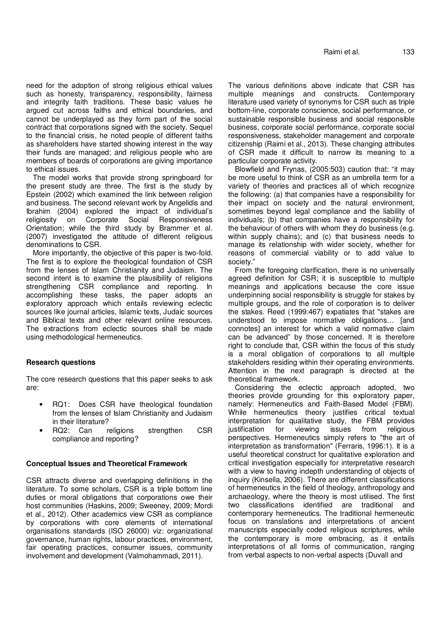need for the adoption of strong religious ethical values such as honesty, transparency, responsibility, fairness and integrity faith traditions. These basic values he argued cut across faiths and ethical boundaries, and cannot be underplayed as they form part of the social contract that corporations signed with the society. Sequel to the financial crisis, he noted people of different faiths as shareholders have started showing interest in the way their funds are managed; and religious people who are members of boards of corporations are giving importance to ethical issues.

The model works that provide strong springboard for the present study are three. The first is the study by Epstein (2002) which examined the link between religion and business. The second relevant work by Angelidis and Ibrahim (2004) explored the impact of individual's religiosity on Corporate Social Responsiveness Orientation; while the third study by Brammer et al. (2007) investigated the attitude of different religious denominations to CSR.

More importantly, the objective of this paper is two-fold. The first is to explore the theological foundation of CSR from the lenses of Islam Christianity and Judaism. The second intent is to examine the plausibility of religions strengthening CSR compliance and reporting. In accomplishing these tasks, the paper adopts an exploratory approach which entails reviewing eclectic sources like journal articles, Islamic texts, Judaic sources and Biblical texts and other relevant online resources. The extractions from eclectic sources shall be made using methodological hermeneutics.

# **Research questions**

The core research questions that this paper seeks to ask are:

- RQ1: Does CSR have theological foundation from the lenses of Islam Christianity and Judaism in their literature?
- RQ2: Can religions strengthen CSR compliance and reporting?

#### **Conceptual Issues and Theoretical Framework**

CSR attracts diverse and overlapping definitions in the literature. To some scholars, CSR is a triple bottom line duties or moral obligations that corporations owe their host communities (Haskins, 2009; Sweeney, 2009; Mordi et al., 2012). Other academics view CSR as compliance by corporations with core elements of international organisations standards (ISO 26000) viz: organizational governance, human rights, labour practices, environment, fair operating practices, consumer issues, community involvement and development (Valmohammadi, 2011).

The various definitions above indicate that CSR has multiple meanings and constructs. Contemporary literature used variety of synonyms for CSR such as triple bottom-line, corporate conscience, social performance, or sustainable responsible business and social responsible business, corporate social performance, corporate social responsiveness, stakeholder management and corporate citizenship (Raimi et al., 2013). These changing attributes of CSR made it difficult to narrow its meaning to a particular corporate activity.

Blowfield and Frynas, (2005:503) caution that: "it may be more useful to think of CSR as an umbrella term for a variety of theories and practices all of which recognize the following: (a) that companies have a responsibility for their impact on society and the natural environment, sometimes beyond legal compliance and the liability of individuals; (b) that companies have a responsibility for the behaviour of others with whom they do business (e.g. within supply chains); and (c) that business needs to manage its relationship with wider society, whether for reasons of commercial viability or to add value to society."

From the foregoing clarification, there is no universally agreed definition for CSR; it is susceptible to multiple meanings and applications because the core issue underpinning social responsibility is struggle for stakes by multiple groups, and the role of corporation is to deliver the stakes. Reed (1999:467) expatiates that "stakes are understood to impose normative obligations… [and connotes] an interest for which a valid normative claim can be advanced" by those concerned. It is therefore right to conclude that, CSR within the focus of this study is a moral obligation of corporations to all multiple stakeholders residing within their operating environments. Attention in the next paragraph is directed at the theoretical framework.

Considering the eclectic approach adopted, two theories provide grounding for this exploratory paper, namely: Hermeneutics and Faith-Based Model (FBM). While hermeneutics theory justifies critical textual interpretation for qualitative study, the FBM provides justification for viewing issues from religious perspectives. Hermeneutics simply refers to "the art of interpretation as transformation" (Ferraris, 1996:1). It is a useful theoretical construct for qualitative exploration and critical investigation especially for interpretative research with a view to having indepth understanding of objects of inquiry (Kinsella, 2006). There are different classifications of hermeneutics in the field of theology, anthropology and archaeology, where the theory is most utilised. The first two classifications identified are traditional and contemporary hermeneutics. The traditional hermeneutic focus on translations and interpretations of ancient manuscripts especially coded religious scriptures, while the contemporary is more embracing, as it entails interpretations of all forms of communication, ranging from verbal aspects to non-verbal aspects (Duvall and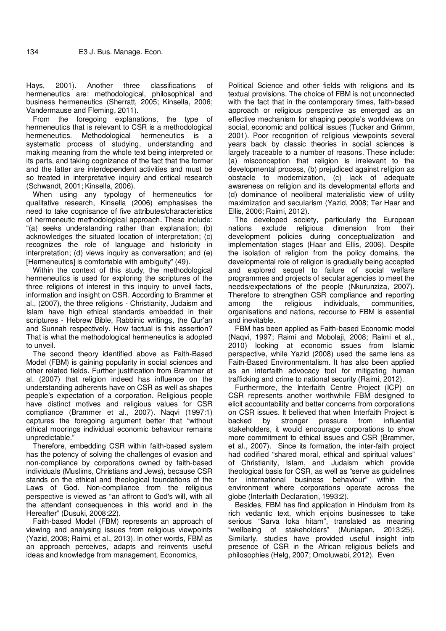Hays, 2001). Another three classifications of hermeneutics are: methodological, philosophical and business hermeneutics (Sherratt, 2005; Kinsella, 2006; Vandermause and Fleming, 2011).

From the foregoing explanations, the type of hermeneutics that is relevant to CSR is a methodological hermeneutics. Methodological hermeneutics is a systematic process of studying, understanding and making meaning from the whole text being interpreted or its parts, and taking cognizance of the fact that the former and the latter are interdependent activities and must be so treated in interpretative inquiry and critical research (Schwandt, 2001; Kinsella, 2006).

When using any typology of hermeneutics for qualitative research, Kinsella (2006) emphasises the need to take cognisance of five attributes/characteristics of hermeneutic methodological approach. These include: "(a) seeks understanding rather than explanation; (b) acknowledges the situated location of interpretation; (c) recognizes the role of language and historicity in interpretation; (d) views inquiry as conversation; and (e) [Hermeneutics] is comfortable with ambiguity" (49).

Within the context of this study, the methodological hermeneutics is used for exploring the scriptures of the three religions of interest in this inquiry to unveil facts, information and insight on CSR. According to Brammer et al., (2007), the three religions - Christianity, Judaism and Islam have high ethical standards embedded in their scriptures - Hebrew Bible, Rabbinic writings, the Qur'an and Sunnah respectively. How factual is this assertion? That is what the methodological hermeneutics is adopted to unveil.

The second theory identified above as Faith-Based Model (FBM) is gaining popularity in social sciences and other related fields. Further justification from Brammer et al. (2007) that religion indeed has influence on the understanding adherents have on CSR as well as shapes people's expectation of a corporation. Religious people have distinct motives and religious values for CSR compliance (Brammer et al., 2007). Naqvi (1997:1) captures the foregoing argument better that "without ethical moorings individual economic behaviour remains unpredictable."

Therefore, embedding CSR within faith-based system has the potency of solving the challenges of evasion and non-compliance by corporations owned by faith-based individuals (Muslims, Christians and Jews), because CSR stands on the ethical and theological foundations of the Laws of God. Non-compliance from the religious perspective is viewed as "an affront to God's will, with all the attendant consequences in this world and in the Hereafter" (Dusuki, 2008:22).

Faith-based Model (FBM) represents an approach of viewing and analysing issues from religious viewpoints (Yazid, 2008; Raimi, et al., 2013). In other words, FBM as an approach perceives, adapts and reinvents useful ideas and knowledge from management, Economics,

Political Science and other fields with religions and its textual provisions. The choice of FBM is not unconnected with the fact that in the contemporary times, faith-based approach or religious perspective as emerged as an effective mechanism for shaping people's worldviews on social, economic and political issues (Tucker and Grimm, 2001). Poor recognition of religious viewpoints several years back by classic theories in social sciences is largely traceable to a number of reasons. These include: (a) misconception that religion is irrelevant to the developmental process, (b) prejudiced against religion as obstacle to modernization, (c) lack of adequate awareness on religion and its developmental efforts and (d) dominance of neoliberal materialistic view of utility maximization and secularism (Yazid, 2008; Ter Haar and Ellis, 2006; Raimi, 2012).

The developed society, particularly the European nations exclude religious dimension from their development policies during conceptualization and implementation stages (Haar and Ellis, 2006). Despite the isolation of religion from the policy domains, the developmental role of religion is gradually being accepted and explored sequel to failure of social welfare programmes and projects of secular agencies to meet the needs/expectations of the people (Nkurunziza, 2007). Therefore to strengthen CSR compliance and reporting among the religious individuals, communities, organisations and nations, recourse to FBM is essential and inevitable.

FBM has been applied as Faith-based Economic model (Naqvi, 1997; Raimi and Mobolaji, 2008; Raimi et al., 2010) looking at economic issues from Islamic perspective, while Yazid (2008) used the same lens as Faith-Based Environmentalism. It has also been applied as an interfaith advocacy tool for mitigating human trafficking and crime to national security (Raimi, 2012).

Furthermore, the Interfaith Centre Project (ICP) on CSR represents another worthwhile FBM designed to elicit accountability and better concerns from corporations on CSR issues. It believed that when Interfaith Project is backed by stronger pressure from influential stakeholders, it would encourage corporations to show more commitment to ethical issues and CSR (Brammer, et al., 2007). Since its formation, the inter-faith project had codified "shared moral, ethical and spiritual values" of Christianity, Islam, and Judaism which provide theological basis for CSR, as well as "serve as guidelines for international business behaviour" within the environment where corporations operate across the globe (Interfaith Declaration, 1993:2).

Besides, FBM has find application in Hinduism from its rich vedantic text, which enjoins businesses to take serious "Sarva loka hitam", translated as meaning "wellbeing of stakeholders" (Muniapan, 2013:25). Similarly, studies have provided useful insight into presence of CSR in the African religious beliefs and philosophies (Helg, 2007; Omoluwabi, 2012). Even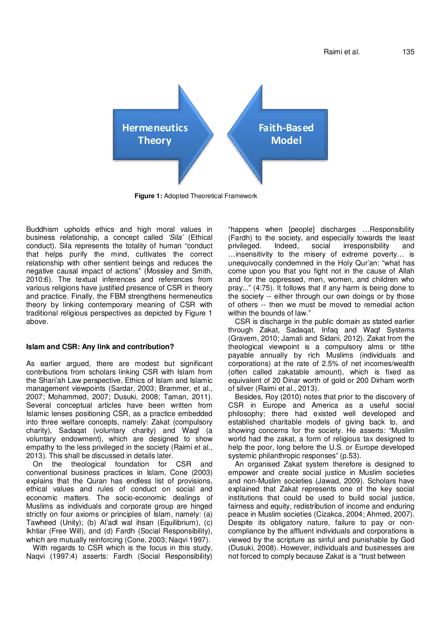Raimi et al. 135



**Figure 1:** Adopted Theoretical Framework

Buddhism upholds ethics and high moral values in business relationship, a concept called *'Sila'* (Ethical conduct). Sila represents the totality of human "conduct that helps purify the mind, cultivates the correct relationship with other sentient beings and reduces the negative causal impact of actions" (Mossley and Smith, 2010:6). The textual inferences and references from various religions have justified presence of CSR in theory and practice. Finally, the FBM strengthens hermeneutics theory by linking contemporary meaning of CSR with traditional religious perspectives as depicted by Figure 1 above.

#### **Islam and CSR: Any link and contribution?**

As earlier argued, there are modest but significant contributions from scholars linking CSR with Islam from the Shari'ah Law perspective, Ethics of Islam and Islamic management viewpoints (Sardar, 2003; Brammer, et al., 2007; Mohammed, 2007; Dusuki, 2008; Taman, 2011). Several conceptual articles have been written from Islamic lenses positioning CSR, as a practice embedded into three welfare concepts, namely: Zakat (compulsory charity), Sadaqat (voluntary charity) and Waqf (a voluntary endowment), which are designed to show empathy to the less privileged in the society (Raimi et al., 2013). This shall be discussed in details later.

On the theological foundation for CSR and conventional business practices in Islam, Cone (2003) explains that the Quran has endless list of provisions, ethical values and rules of conduct on social and economic matters. The socio-economic dealings of Muslims as individuals and corporate group are hinged strictly on four axioms or principles of Islam, namely: (a) Tawheed (Unity); (b) Al'adl wal ihsan (Equilibrium), (c) Ikhtiar (Free Will), and (d) Fardh (Social Responsibility), which are mutually reinforcing (Cone, 2003; Naqvi 1997).

With regards to CSR which is the focus in this study, Naqvi (1997:4) asserts: Fardh (Social Responsibility)

"happens when [people] discharges …Responsibility (Fardh) to the society, and especially towards the least privileged. Indeed, social irresponsibility and …insensitivity to the misery of extreme poverty… is unequivocally condemned in the Holy Qur'an: "what has come upon you that you fight not in the cause of Allah and for the oppressed, men, women, and children who pray..." (4:75). It follows that if any harm is being done to the society -- either through our own doings or by those of others -- then we must be moved to remedial action within the bounds of law."

CSR is discharge in the public domain as stated earlier through Zakat, Sadaqat, Infaq and Waqf Systems (Gravem, 2010; Jamali and Sidani, 2012). Zakat from the theological viewpoint is a compulsory alms or tithe payable annually by rich Muslims (individuals and corporations) at the rate of 2.5% of net incomes/wealth (often called zakatable amount), which is fixed as equivalent of 20 Dinar worth of gold or 200 Dirham worth of silver (Raimi et al., 2013).

Besides, Roy (2010) notes that prior to the discovery of CSR in Europe and America as a useful social philosophy; there had existed well developed and established charitable models of giving back to, and showing concerns for the society. He asserts: "Muslim world had the zakat, a form of religious tax designed to help the poor, long before the U.S. or Europe developed systemic philanthropic responses" (p.53).

An organised Zakat system therefore is designed to empower and create social justice in Muslim societies and non-Muslim societies (Jawad, 2009). Scholars have explained that Zakat represents one of the key social institutions that could be used to build social justice, fairness and equity, redistribution of income and enduring peace in Muslim societies (Cizakca, 2004; Ahmed, 2007). Despite its obligatory nature, failure to pay or noncompliance by the affluent individuals and corporations is viewed by the scripture as sinful and punishable by God (Dusuki, 2008). However, individuals and businesses are not forced to comply because Zakat is a "trust between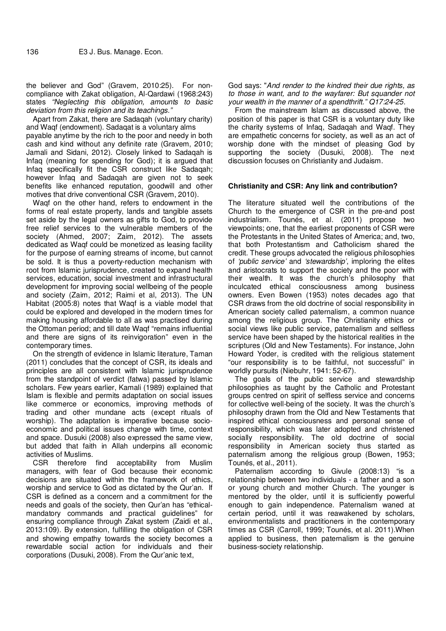the believer and God" (Gravem, 2010:25). For noncompliance with Zakat obligation, Al-Qardawi (1968:243) states *"Neglecting this obligation, amounts to basic deviation from this religion and its teachings."*

Apart from Zakat, there are Sadaqah (voluntary charity) and Waqf (endowment). Sadaqat is a voluntary alms payable anytime by the rich to the poor and needy in both cash and kind without any definite rate (Gravem, 2010; Jamali and Sidani, 2012). Closely linked to Sadaqah is Infaq (meaning for spending for God); it is argued that Infaq specifically fit the CSR construct like Sadaqah; however Infaq and Sadaqah are given not to seek benefits like enhanced reputation, goodwill and other motives that drive conventional CSR (Gravem, 2010).

Waqf on the other hand, refers to endowment in the forms of real estate property, lands and tangible assets set aside by the legal owners as gifts to God, to provide free relief services to the vulnerable members of the society (Ahmed, 2007; Zaim, 2012). The assets dedicated as Waqf could be monetized as leasing facility for the purpose of earning streams of income, but cannot be sold. It is thus a poverty-reduction mechanism with root from Islamic jurisprudence, created to expand health services, education, social investment and infrastructural development for improving social wellbeing of the people and society (Zaim, 2012; Raimi et al, 2013). The UN Habitat (2005:8) notes that Waqf is a viable model that could be explored and developed in the modern times for making housing affordable to all as was practised during the Ottoman period; and till date Waqf "remains influential and there are signs of its reinvigoration" even in the contemporary times.

On the strength of evidence in Islamic literature, Taman (2011) concludes that the concept of CSR, its ideals and principles are all consistent with Islamic jurisprudence from the standpoint of verdict (fatwa) passed by Islamic scholars. Few years earlier, Kamali (1989) explained that Islam is flexible and permits adaptation on social issues like commerce or economics, improving methods of trading and other mundane acts (except rituals of worship). The adaptation is imperative because socioeconomic and political issues change with time, context and space. Dusuki (2008) also expressed the same view, but added that faith in Allah underpins all economic activities of Muslims.

CSR therefore find acceptability from Muslim managers, with fear of God because their economic decisions are situated within the framework of ethics, worship and service to God as dictated by the Qur'an. If CSR is defined as a concern and a commitment for the needs and goals of the society, then Qur'an has "ethicalmandatory commands and practical guidelines" for ensuring compliance through Zakat system (Zaidi et al., 2013:109). By extension, fulfilling the obligation of CSR and showing empathy towards the society becomes a rewardable social action for individuals and their corporations (Dusuki, 2008). From the Qur'anic text,

God says: "*And render to the kindred their due rights, as to those in want, and to the wayfarer: But squander not your wealth in the manner of a spendthrift." Q17:24-25.*

From the mainstream Islam as discussed above, the position of this paper is that CSR is a voluntary duty like the charity systems of Infaq, Sadaqah and Waqf. They are empathetic concerns for society, as well as an act of worship done with the mindset of pleasing God by supporting the society (Dusuki, 2008). The next discussion focuses on Christianity and Judaism.

# **Christianity and CSR: Any link and contribution?**

The literature situated well the contributions of the Church to the emergence of CSR in the pre-and post industrialism. Tounés, et al. (2011) propose two viewpoints; one, that the earliest proponents of CSR were the Protestants in the United States of America; and, two, that both Protestantism and Catholicism shared the credit. These groups advocated the religious philosophies of *'public service'* and *'stewardship'*, imploring the elites and aristocrats to support the society and the poor with their wealth. It was the church's philosophy that inculcated ethical consciousness among business owners. Even Bowen (1953) notes decades ago that CSR draws from the old doctrine of social responsibility in American society called paternalism, a common nuance among the religious group. The Christianity ethics or social views like public service, paternalism and selfless service have been shaped by the historical realities in the scriptures (Old and New Testaments). For instance, John Howard Yoder, is credited with the religious statement "our responsibility is to be faithful, not successful" in worldly pursuits (Niebuhr, 1941: 52-67).

The goals of the public service and stewardship philosophies as taught by the Catholic and Protestant groups centred on spirit of selfless service and concerns for collective well-being of the society. It was the church's philosophy drawn from the Old and New Testaments that inspired ethical consciousness and personal sense of responsibility, which was later adopted and christened socially responsibility. The old doctrine of social responsibility in American society thus started as paternalism among the religious group (Bowen, 1953; Tounés, et al., 2011).

Paternalism according to Givule (2008:13) "is a relationship between two individuals - a father and a son or young church and mother Church. The younger is mentored by the older, until it is sufficiently powerful enough to gain independence. Paternalism waned at certain period, until it was reawakened by scholars, environmentalists and practitioners in the contemporary times as CSR (Carroll, 1999; Tounés, et al. 2011).When applied to business, then paternalism is the genuine business-society relationship.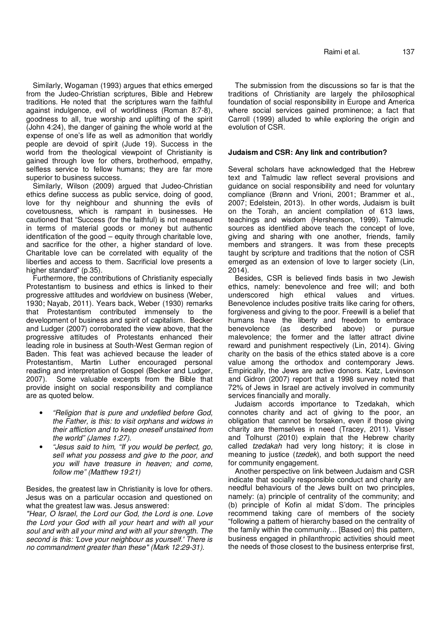Similarly, Wogaman (1993) argues that ethics emerged from the Judeo-Christian scriptures, Bible and Hebrew traditions. He noted that the scriptures warn the faithful against indulgence, evil of worldliness (Roman 8:7-8), goodness to all, true worship and uplifting of the spirit (John 4:24), the danger of gaining the whole world at the expense of one's life as well as admonition that worldly people are devoid of spirit (Jude 19). Success in the world from the theological viewpoint of Christianity is gained through love for others, brotherhood, empathy, selfless service to fellow humans; they are far more superior to business success.

Similarly, Wilson (2009) argued that Judeo-Christian ethics define success as public service, doing of good, love for thy neighbour and shunning the evils of covetousness, which is rampant in businesses. He cautioned that "Success (for the faithful) is not measured in terms of material goods or money but authentic identification of the good – equity through charitable love, and sacrifice for the other, a higher standard of love. Charitable love can be correlated with equality of the liberties and access to them. Sacrificial love presents a higher standard" (p.35).

Furthermore, the contributions of Christianity especially Protestantism to business and ethics is linked to their progressive attitudes and worldview on business (Weber, 1930; Nayab, 2011). Years back, Weber (1930) remarks that Protestantism contributed immensely to the development of business and spirit of capitalism. Becker and Ludger (2007) corroborated the view above, that the progressive attitudes of Protestants enhanced their leading role in business at South-West German region of Baden. This feat was achieved because the leader of Protestantism, Martin Luther encouraged personal reading and interpretation of Gospel (Becker and Ludger, 2007). Some valuable excerpts from the Bible that Some valuable excerpts from the Bible that provide insight on social responsibility and compliance are as quoted below.

- *"Religion that is pure and undefiled before God, the Father, is this: to visit orphans and widows in their affliction and to keep oneself unstained from the world" (James 1:27).*
- *"Jesus said to him, "If you would be perfect, go, sell what you possess and give to the poor, and you will have treasure in heaven; and come, follow me" (Matthew 19:21)*

Besides, the greatest law in Christianity is love for others. Jesus was on a particular occasion and questioned on what the greatest law was. Jesus answered:

*"Hear, O Israel, the Lord our God, the Lord is one. Love the Lord your God with all your heart and with all your soul and with all your mind and with all your strength. The second is this: 'Love your neighbour as yourself.' There is no commandment greater than these" (Mark 12:29-31).*

The submission from the discussions so far is that the traditions of Christianity are largely the philosophical foundation of social responsibility in Europe and America where social services gained prominence; a fact that Carroll (1999) alluded to while exploring the origin and evolution of CSR.

# **Judaism and CSR: Any link and contribution?**

Several scholars have acknowledged that the Hebrew text and Talmudic law reflect several provisions and guidance on social responsibility and need for voluntary compliance (Brønn and Vrioni, 2001; Brammer et al., 2007; Edelstein, 2013). In other words, Judaism is built on the Torah, an ancient compilation of 613 laws, teachings and wisdom (Hershenson, 1999). Talmudic sources as identified above teach the concept of love, giving and sharing with one another, friends, family members and strangers. It was from these precepts taught by scripture and traditions that the notion of CSR emerged as an extension of love to larger society (Lin, 2014).

Besides, CSR is believed finds basis in two Jewish ethics, namely: benevolence and free will; and both high ethical values Benevolence includes positive traits like caring for others, forgiveness and giving to the poor. Freewill is a belief that humans have the liberty and freedom to embrace<br>benevolence (as described above) or pursue benevolence (as described above) or malevolence; the former and the latter attract divine reward and punishment respectively (Lin, 2014). Giving charity on the basis of the ethics stated above is a core value among the orthodox and contemporary Jews. Empirically, the Jews are active donors. Katz, Levinson and Gidron (2007) report that a 1998 survey noted that 72% of Jews in Israel are actively involved in community services financially and morally.

Judaism accords importance to Tzedakah, which connotes charity and act of giving to the poor, an obligation that cannot be forsaken, even if those giving charity are themselves in need (Tracey, 2011). Visser and Tolhurst (2010) explain that the Hebrew charity called *tzedakah* had very long history; it is close in meaning to justice (*tzedek*), and both support the need for community engagement.

Another perspective on link between Judaism and CSR indicate that socially responsible conduct and charity are needful behaviours of the Jews built on two principles, namely: (a) principle of centrality of the community; and (b) principle of Kofin al midat S'dom. The principles recommend taking care of members of the society "following a pattern of hierarchy based on the centrality of the family within the community… [Based on} this pattern, business engaged in philanthropic activities should meet the needs of those closest to the business enterprise first,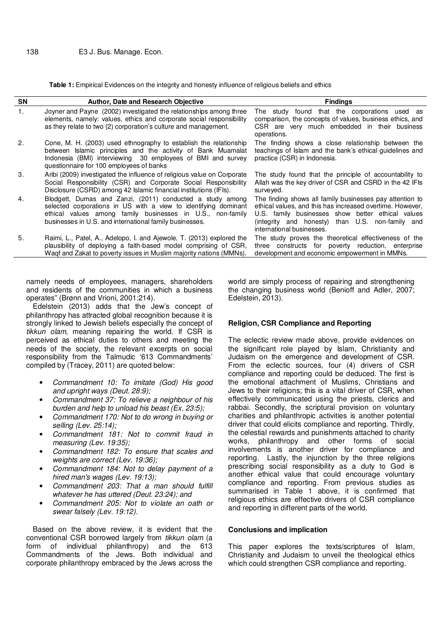**Table 1:** Empirical Evidences on the integrity and honesty influence of religious beliefs and ethics

| <b>SN</b> | <b>Author, Date and Research Objective</b>                                                                                                                                                                                                            | <b>Findings</b>                                                                                                                                                                                                                                             |
|-----------|-------------------------------------------------------------------------------------------------------------------------------------------------------------------------------------------------------------------------------------------------------|-------------------------------------------------------------------------------------------------------------------------------------------------------------------------------------------------------------------------------------------------------------|
| 1.        | Joyner and Payne (2002) investigated the relationships among three<br>elements, namely: values, ethics and corporate social responsibility<br>as they relate to two (2) corporation's culture and management.                                         | The study found that the corporations used as<br>comparison, the concepts of values, business ethics, and<br>CSR are very much embedded in their business<br>operations.                                                                                    |
| 2.        | Cone, M. H. (2003) used ethnography to establish the relationship<br>between Islamic principles and the activity of Bank Muamalat<br>Indonesia (BMI) interviewing 30 employees of BMI and survey<br>questionnaire for 100 employees of banks          | The finding shows a close relationship between the<br>teachings of Islam and the bank's ethical guidelines and<br>practice (CSR) in Indonesia.                                                                                                              |
| 3.        | Aribi (2009) investigated the influence of religious value on Corporate<br>Social Responsibility (CSR) and Corporate Social Responsibility<br>Disclosure (CSRD) among 42 Islamic financial institutions (IFIs).                                       | The study found that the principle of accountability to<br>Allah was the key driver of CSR and CSRD in the 42 IFIs<br>surveyed.                                                                                                                             |
| 4.        | Blodgett, Dumas and Zanzi, (2011) conducted a study among<br>selected corporations in US with a view to identifying dominant<br>ethical values among family businesses in U.S., non-family<br>businesses in U.S. and international family businesses. | The finding shows all family businesses pay attention to<br>ethical values, and this has increased overtime. However,<br>U.S. family businesses show better ethical values<br>(integrity and honesty) than U.S. non-family and<br>international businesses. |
| 5.        | Raimi, L., Patel, A., Adelopo, I. and Ajewole, T. (2013) explored the<br>plausibility of deploying a faith-based model comprising of CSR,<br>Waqf and Zakat to poverty issues in Muslim majority nations (MMNs).                                      | The study proves the theoretical effectiveness of the<br>three constructs for poverty reduction, enterprise<br>development and economic empowerment in MMNs.                                                                                                |

namely needs of employees, managers, shareholders and residents of the communities in which a business operates" (Brønn and Vrioni, 2001:214).

Edelstein (2013) adds that the Jew's concept of philanthropy has attracted global recognition because it is strongly linked to Jewish beliefs especially the concept of *tikkun olam*, meaning repairing the world. If CSR is perceived as ethical duties to others and meeting the needs of the society, the relevant excerpts on social responsibility from the Talmudic '613 Commandments' compiled by (Tracey, 2011) are quoted below:

- *Commandment 10: To imitate (God) His good and upright ways (Deut. 28:9);*
- *Commandment 37: To relieve a neighbour of his burden and help to unload his beast (Ex. 23:5);*
- *Commandment 170: Not to do wrong in buying or selling (Lev. 25:14);*
- *Commandment 181: Not to commit fraud in measuring (Lev. 19:35);*
- *Commandment 182: To ensure that scales and weights are correct (Lev. 19:36);*
- *Commandment 184: Not to delay payment of a hired man's wages (Lev. 19:13);*
- *Commandment 203: That a man should fulfill whatever he has uttered (Deut. 23:24); and*
- *Commandment 205: Not to violate an oath or swear falsely (Lev. 19:12).*

Based on the above review, it is evident that the conventional CSR borrowed largely from *tikkun olam* (a form of individual philanthropy) and the 613 Commandments of the Jews. Both individual and corporate philanthropy embraced by the Jews across the world are simply process of repairing and strengthening the changing business world (Benioff and Adler, 2007; Edelstein, 2013).

### **Religion, CSR Compliance and Reporting**

The eclectic review made above, provide evidences on the significant role played by Islam, Christianity and Judaism on the emergence and development of CSR. From the eclectic sources, four (4) drivers of CSR compliance and reporting could be deduced. The first is the emotional attachment of Muslims, Christians and Jews to their religions; this is a vital driver of CSR, when effectively communicated using the priests, clerics and rabbai. Secondly, the scriptural provision on voluntary charities and philanthropic activities is another potential driver that could elicits compliance and reporting. Thirdly, the celestial rewards and punishments attached to charity works, philanthropy and other forms of social involvements is another driver for compliance and reporting. Lastly, the injunction by the three religions prescribing social responsibility as a duty to God is another ethical value that could encourage voluntary compliance and reporting. From previous studies as summarised in Table 1 above, it is confirmed that religious ethics are effective drivers of CSR compliance and reporting in different parts of the world.

#### **Conclusions and implication**

This paper explores the texts/scriptures of Islam, Christianity and Judaism to unveil the theological ethics which could strengthen CSR compliance and reporting.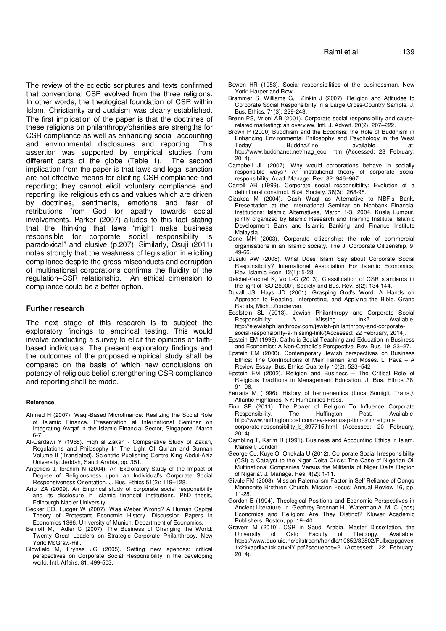The review of the eclectic scriptures and texts confirmed that conventional CSR evolved from the three religions. In other words, the theological foundation of CSR within Islam, Christianity and Judaism was clearly established. The first implication of the paper is that the doctrines of these religions on philanthropy/charities are strengths for CSR compliance as well as enhancing social, accounting and environmental disclosures and reporting. This assertion was supported by empirical studies from different parts of the globe (Table 1). The second implication from the paper is that laws and legal sanction are not effective means for eliciting CSR compliance and reporting; they cannot elicit voluntary compliance and reporting like religious ethics and values which are driven by doctrines, sentiments, emotions and fear of retributions from God for apathy towards social involvements. Parker (2007) alludes to this fact stating that the thinking that laws "might make business responsible for corporate social responsibility is paradoxical" and elusive (p.207). Similarly, Osuji (2011) notes strongly that the weakness of legislation in eliciting compliance despite the gross misconducts and corruption of multinational corporations confirms the fluidity of the regulation–CSR relationship. An ethical dimension to compliance could be a better option.

#### **Further research**

The next stage of this research is to subject the exploratory findings to empirical testing. This would involve conducting a survey to elicit the opinions of faithbased individuals. The present exploratory findings and the outcomes of the proposed empirical study shall be compared on the basis of which new conclusions on potency of religious belief strengthening CSR compliance and reporting shall be made.

#### **Reference**

- Ahmed H (2007). Waqf-Based Microfinance: Realizing the Social Role of Islamic Finance. Presentation at International Seminar on Integrating Awqaf in the Islamic Financial Sector, Singapore, March 6-7.
- Al-Qardawi Y (1968). Fiqh al Zakah Comparative Study of Zakah, Regulations and Philosophy In The Light Of Qur'an and Sunnah Volume II (Translated). Scientific Publishing Centre King Abdul-Aziz University: Jeddah, Saudi Arabia, pp. 351.
- Angelidis J, Ibrahim N (2004). An Exploratory Study of the Impact of Degree of Religiousness upon an Individual's Corporate Social Responsiveness Orientation. J. Bus. Ethics 51(2): 119–128.
- Aribi ZA (2009). An Empirical study of corporate social responsibility and its disclosure in Islamic financial institutions*.* PhD thesis, Edinburgh Napier University.
- Becker SO, Ludger W (2007). Was Weber Wrong? A Human Capital Theory of Protestant Economic History. Discussion Papers in Economics 1366, University of Munich, Department of Economics.
- Benioff M, Adler C (2007). The Business of Changing the World: Twenty Great Leaders on Strategic Corporate Philanthropy. New York: McGraw-Hill.
- Blowfield M, Frynas JG (2005). Setting new agendas: critical perspectives on Corporate Social Responsibility in the developing world. Intl. Affairs. 81: 499-503.
- Bowen HR (1953). Social responsibilities of the businessman. New York: Harper and Row.
- Brammer S, Williams G, Zinkin J (2007). Religion and Attitudes to Corporate Social Responsibility in a Large Cross-Country Sample. J. Bus. Ethics. 71(3): 229-243.
- Brønn PS, Vrioni AB (2001). Corporate social responsibility and causerelated marketing: an overview. Intl. J. Advert. 20(2): 207–222.
- Brown P (2000) Buddhism and the Ecocrisis: the Role of Buddhism in Enhancing Environmental Philosophy and Psychology in the West Today', BuddhaZine, available at: BuddhaZine, available at: http://www.buddhanet.net/mag\_eco. htm (Accessed: 23 February, 2014).
- Campbell JL (2007). Why would corporations behave in socially responsible ways? An institutional theory of corporate social responsibility. Acad. Manage. Rev. 32: 946–967.
- Carroll AB (1999). Corporate social responsibility: Evolution of a definitional construct. Busi. Society. 38(3): 268-95.
- Cizakca M (2004). Cash Waqf as Alternative to NBFIs Bank. Presentation at the International Seminar on Nonbank Financial Institutions: Islamic Alternatives, March 1-3, 2004, Kuala Lumpur, jointly organized by Islamic Research and Training Institute, Islamic Development Bank and Islamic Banking and Finance Institute Malaysia.
- Cone MH (2003). Corporate citizenship: the role of commercial organisations in an Islamic society. The J. Corporate Citizenship, 9: 49-66.
- Dusuki AW (2008). What Does Islam Say about Corporate Social Responsibility? International Association For Islamic Economics, Rev. Islamic Econ. 12(1): 5-28.
- Delchet-Cochet K, Vo L-C (2013). Classification of CSR standards in the light of ISO 26000", Society and Bus. Rev. 8(2): 134-144.
- Duvall JS, Hays JD (2001). Grasping God's Word: A Hands on Approach to Reading, Interpreting, and Applying the Bible. Grand Rapids, Mich.: Zondervan.
- Edelstein SL (2013). Jewish Philanthropy and Corporate Social<br>Responsibility: A Missing Link? Available: Responsibility: A Missing Link? Available: http://ejewishphilanthropy.com/jewish-philanthropy-and-corporatesocial-responsibility-a-missing-link/(Acceesed: 22 February, 2014).
- Epstein EM (1998). Catholic Social Teaching and Education in Business and Economics: A Non-Catholic's Perspective. Rev. Bus. 19: 23–27.
- Epstein EM (2000). Contemporary Jewish perspectives on Business Ethics: The Contributions of Meir Tamari and Moses. L. Pava - A Review Essay. Bus. Ethics Quarterly 10(2): 523–542
- Epstein EM (2002). Religion and Business The Critical Role of Religious Traditions in Management Education. J. Bus. Ethics 38: 91–96.
- Ferraris M (1996). History of hermeneutics (Luca Somigli, Trans*.).* Atlantic Highlands, NY: Humanities Press*.*
- Finn SP (2011). The Power of Religion To Influence Corporate Responsibility. The Huffington Post. Available: http://www.huffingtonpost.com/rev-seamus-p-finn-omi/religioncorporate-responsibility b 897715.html (Accessed: 20 February, 2014).
- Gambling T, Karim R (1991). Business and Accounting Ethics in Islam. Mansell, London
- George OJ, Kuye O, Onokala U (2012). Corporate Social Irresponsibility (CSI) a Catalyst to the Niger Delta Crisis: The Case of Nigerian Oil Multinational Companies Versus the Militants of Niger Delta Region of Nigeria'. J. Manage. Res. 4(2): 1-11.
- Givule FM (2008). Mission Paternalism Factor in Self Reliance of Congo Mennonite Brethren Church. Mission Focus: Annual Review 16, pp. 11-28.
- Gordon B (1994). Theological Positions and Economic Perspectives in Ancient Literature. In: Geoffrey Brennan H., Waterman A. M. C. (eds) Economics and Religion: Are They Distinct? Kluwer Academic Publishers, Boston, pp. 19–40.
- Gravem M (2010). CSR in Saudi Arabia. Master Dissertation, the<br>University of Oslo Faculty of Theology. Available: University of Oslo Faculty of Theology. Available: https://www.duo.uio.no/bitstream/handle/10852/32802/Fullxoppgavex 1x29xaprilxaltxklartxNY.pdf?sequence=2 (Accessed: 22 February, 2014).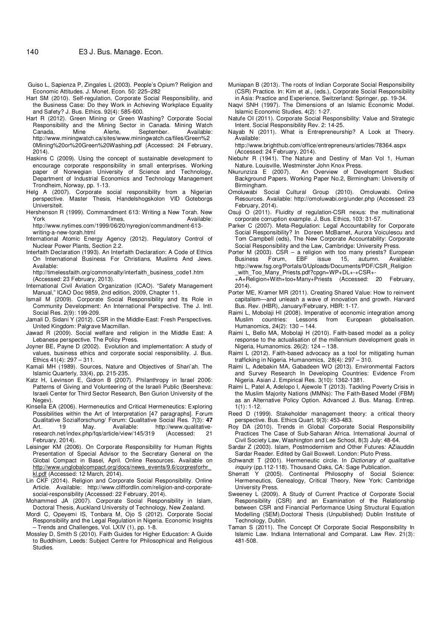- Guiso L, Sapienza P, Zingales L (2003). People's Opium? Religion and Economic Attitudes. J. Monet. Econ. 50: 225–282
- Hart SM (2010). Self-regulation, Corporate Social Responsibility, and the Business Case: Do they Work in Achieving Workplace Equality and Safety? J. Bus. Ethics. 92(4): 585-600.
- Hart R (2012). Green Mining or Green Washing? Corporate Social Responsibility and the Mining Sector in Canada. Mining Watch Canada, Mine Alerte, September. Available: http://www.miningwatch.ca/sites/www.miningwatch.ca/files/Green%2 0Mining%20or%20Green%20Washing.pdf (Accessed: 24 February, 2014).
- Haskins C (2009). Using the concept of sustainable development to encourage corporate responsibility in small enterprises. Working paper of Norwegian University of Science and Technology, Department of Industrial Economics and Technology Management Trondheim, Norway, pp. 1-13.
- Helg A (2007). Corporate social responsibility from a Nigerian perspective. Master Thesis, Handelshogskolon VID Goteborgs Universiteit.
- Hershenson R (1999). Commandment 613: Writing a New Torah. New York Times, North Available: http://www.nytimes.com/1999/06/20/nyregion/commandment-613 writing-a-new-torah.html
- International Atomic Energy Agency (2012). Regulatory Control of Nuclear Power Plants, Section 2.2.
- Interfaith Declaration (1993). An Interfaith Declaration: A Code of Ethics On International Business For Christians, Muslims And Jews. Available:
- http://timelessfaith.org/commonalty/interfaith\_business\_code1.htm (Accessed: 23 February, 2013).
- International Civil Aviation Organization (ICAO). "Safety Management Manual," ICAO Doc 9859, 2nd edition, 2009, Chapter 11.
- Ismail M (2009). Corporate Social Responsibility and Its Role in Community Development: An International Perspective. The J. Intl. Social Res. 2(9): 199-209.
- Jamali D, Sidani Y (2012). CSR in the Middle-East: Fresh Perspectives. United Kingdom: Palgrave Macmillan.
- Jawad R (2009). Social welfare and religion in the Middle East: A Lebanese perspective. The Policy Press.
- Joyner BE, Payne D (2002). Evolution and implementation: A study of values, business ethics and corporate social responsibility. J. Bus. Ethics 41(4): 297 – 311.
- Kamali MH (1989). Sources, Nature and Objectives of Shari'ah. The Islamic Quarterly, 33(4), pp. 215-235.
- Katz H, Levinson E, Gidron B (2007). Philanthropy in Israel 2006: Patterns of Giving and Volunteering of the Israeli Public (Beersheva: Israeli Center for Third Sector Research, Ben Gurion University of the Negev)
- Kinsella EA (2006). Hermeneutics and Critical Hermeneutics: Exploring Possibilities within the Art of Interpretation [47 paragraphs]. Forum Qualitative Sozialforschung/ Forum: Qualitative Social Res. 7(3): **47** Art. 19 May. Available: http://www.qualitativeresearch.net/index.php/fqs/article/view/145/319 (Accessed: 21 February, 2014).
- Leisinger KM (2006). On Corporate Responsibility for Human Rights Presentation of Special Advisor to the Secretary General on the Global Compact in Basel, April. Online Resources. Available on http://www.unglobalcompact.org/docs/news\_events/9.6/corpresforhr\_ kl.pdf (Accessed: 12 March, 2014).
- Lin CKF (2014). Religion and Corporate Social Responsibility. Online Article. Available: http://www.cliffordlin.com/religion-and-corporatesocial-responsibility (Accessed: 22 February, 2014).
- Mohammed JA (2007). Corporate Social Responsibility in Islam, Doctoral Thesis, Auckland University of Technology, New Zealand.
- Mordi C, Opeyemi IS, Tonbara M, Ojo S (2012). Corporate Social Responsibility and the Legal Regulation in Nigeria. Economic Insights – Trends and Challenges, Vol. LXIV (1), pp. 1-8.
- Mossley D, Smith S (2010). Faith Guides for Higher Education: A Guide to Buddhism, Leeds: Subject Centre for Philosophical and Religious Studies.
- Muniapan B (2013). The roots of Indian Corporate Social Responsibility (CSR) Practice. In: Kim et al., (eds.), Corporate Social Responsibility in Asia: Practice and Experience, Switzerland: Springer, pp. 19-34.
- Naqvi SNH (1997). The Dimensions of an Islamic Economic Model. Islamic Economic Studies, 4(2): 1-27.
- Natufe OI (2011). Corporate Social Responsibility: Value and Strategic Intent. Social Responsibility Rev. 2: 14-25.
- Nayab N (2011). What is Entrepreneurship? A Look at Theory. Available:

http://www.brighthub.com/office/entrepreneurs/articles/78364.aspx (Accessed: 24 February, 2014).

- Niebuhr R (1941). The Nature and Destiny of Man Vol 1, Human Nature. Louisville, Westminster John Knox Press.
- Nkurunziza E (2007). An Overview of Development Studies: Background Papers. Working Paper No.2, Birmingham: University of Birmingham.
- Omoluwabi Social Cultural Group (2010). Omoluwabi. Online Resources. Available: http://omoluwabi.org/under.php (Accessed: 23 February, 2014).
- Osuji O (2011). Fluidity of regulation-CSR nexus: the multinational corporate corruption example. J. Bus. Ethics, 103: 31-57.
- Parker C (2007). Meta-Regulation: Legal Accountability for Corporate Social Responsibility? In Doreen McBarnet, Aurora Voiculescu and Tom Campbell (eds), The New Corporate Accountability: Corporate Social Responsibility and the Law, Cambridge: University Press.
- Porter M (2003). CSR a religion with too many priests? European Business Forum, EBF issue 15, autumn. Available: http://www.fsg.org/Portals/0/Uploads/Documents/PDF/CSR\_Religion \_with\_Too\_Many\_Priests.pdf?cpgn=WP+DL+-+CSR+-
- +A+Religion+With+too+Many+Priests (Accessed: 20 February, 2014).
- Porter ME, Kramer MR (2011). Creating Shared Value: How to reinvent capitalism—and unleash a wave of innovation and growth. Harvard Bus. Rev. (HBR), January/February, HBR: 1-17.
- Raimi L, Mobolaji HI (2008). Imperative of economic integration among Muslim countries: Lessons from European globalisation. Humanomics, 24(2): 130 – 144.
- Raimi L, Bello MA, Mobolaji H (2010). Faith-based model as a policy response to the actualisation of the millennium development goals in Nigeria, Humanomics. 26(2): 124 – 138.
- Raimi L (2012). Faith-based advocacy as a tool for mitigating human trafficking in Nigeria. Humanomics, 28(4): 297 – 310.
- Raimi L, Adebakin MA, Gabadeen WO (2013). Environmental Factors and Survey Research In Developing Countries: Evidence From Nigeria. Asian J. Empirical Res. 3(10): 1362-1381.
- Raimi L, Patel A, Adelopo I, Ajewole T (2013). Tackling Poverty Crisis in the Muslim Majority Nations (MMNs): The Faith-Based Model (FBM) as an Alternative Policy Option. Advanced J. Bus. Manag. Entrep.  $1(1): 1-12.$
- Reed D (1999). Stakeholder management theory: a critical theory perspective. Bus. Ethics Quart. 9(3): 453-483.
- Roy DA (2010). Trends in Global Corporate Social Responsibility Practices The Case of Sub-Saharan Africa. International Journal of Civil Society Law, Washington and Lee School, 8(3) July: 48-64.
- Sardar Z (2003). Islam*,* Postmodernism and Other Futures*:* AZiauddin Sardar Reader*.* Edited by Gail Boxwell. London: Pluto Press.
- Schwandt T (2001). Hermeneutic circle. In *Dictionary of qualitative inquiry* (pp.112-118). Thousand Oaks, CA: Sage Publication.
- Sherratt Y (2005). Continental Philosophy of Social Science: Hermeneutics, Genealogy, Critical Theory, New York: Cambridge University Press.
- Sweeney L (2009). A Study of Current Practice of Corporate Social Responsibility (CSR) and an Examination of the Relationship between CSR and Financial Performance Using Structural Equation Modelling (SEM).Doctoral Thesis (Unpublished) Dublin Institute of Technology, Dublin.
- Taman S (2011). The Concept Of Corporate Social Responsibility In Islamic Law. Indiana International and Comparat. Law Rev. 21(3): 481-508.